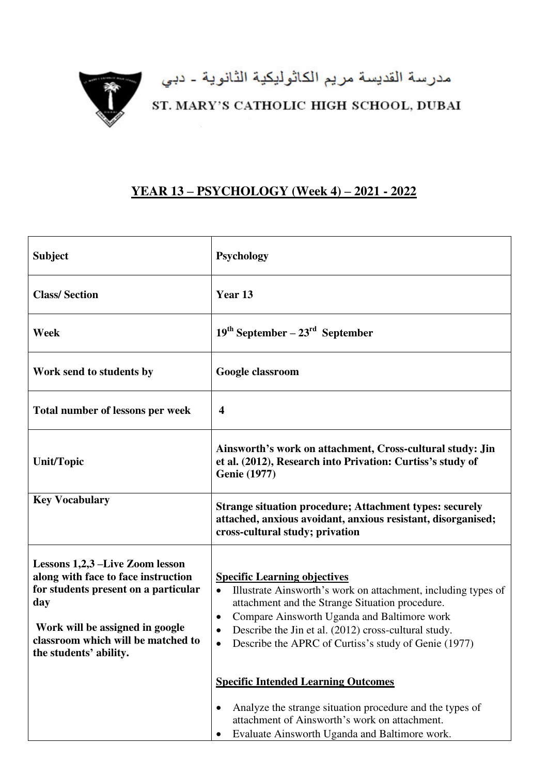

## مدرسة القديسة مريم الكاثوليكية الثانوية - دبي<br>ST. MARY'S CATHOLIC HIGH SCHOOL, DUBAI

## **YEAR 13 – PSYCHOLOGY (Week 4) – 2021 - 2022**

| <b>Subject</b>                                                                                                                                                                                                           | <b>Psychology</b>                                                                                                                                                                                                                                                                                                                                                          |
|--------------------------------------------------------------------------------------------------------------------------------------------------------------------------------------------------------------------------|----------------------------------------------------------------------------------------------------------------------------------------------------------------------------------------------------------------------------------------------------------------------------------------------------------------------------------------------------------------------------|
| <b>Class/Section</b>                                                                                                                                                                                                     | Year 13                                                                                                                                                                                                                                                                                                                                                                    |
| Week                                                                                                                                                                                                                     | $19th September - 23rd September$                                                                                                                                                                                                                                                                                                                                          |
| Work send to students by                                                                                                                                                                                                 | Google classroom                                                                                                                                                                                                                                                                                                                                                           |
| Total number of lessons per week                                                                                                                                                                                         | $\boldsymbol{4}$                                                                                                                                                                                                                                                                                                                                                           |
| <b>Unit/Topic</b>                                                                                                                                                                                                        | Ainsworth's work on attachment, Cross-cultural study: Jin<br>et al. (2012), Research into Privation: Curtiss's study of<br><b>Genie</b> (1977)                                                                                                                                                                                                                             |
| <b>Key Vocabulary</b>                                                                                                                                                                                                    | <b>Strange situation procedure; Attachment types: securely</b><br>attached, anxious avoidant, anxious resistant, disorganised;<br>cross-cultural study; privation                                                                                                                                                                                                          |
| Lessons 1,2,3 –Live Zoom lesson<br>along with face to face instruction<br>for students present on a particular<br>day<br>Work will be assigned in google<br>classroom which will be matched to<br>the students' ability. | <b>Specific Learning objectives</b><br>Illustrate Ainsworth's work on attachment, including types of<br>$\bullet$<br>attachment and the Strange Situation procedure.<br>Compare Ainsworth Uganda and Baltimore work<br>$\bullet$<br>Describe the Jin et al. (2012) cross-cultural study.<br>$\bullet$<br>Describe the APRC of Curtiss's study of Genie (1977)<br>$\bullet$ |
|                                                                                                                                                                                                                          | <b>Specific Intended Learning Outcomes</b>                                                                                                                                                                                                                                                                                                                                 |
|                                                                                                                                                                                                                          | Analyze the strange situation procedure and the types of<br>$\bullet$<br>attachment of Ainsworth's work on attachment.<br>Evaluate Ainsworth Uganda and Baltimore work.                                                                                                                                                                                                    |